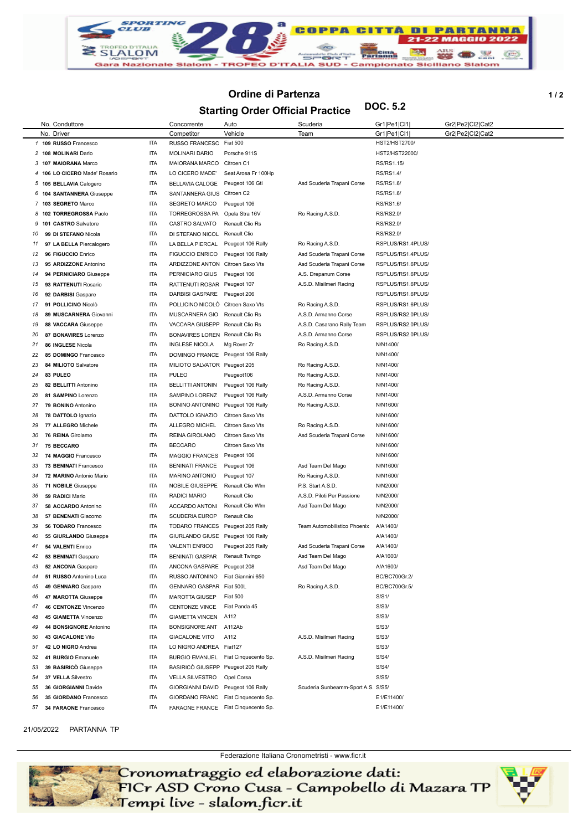

## **Ordine di Partenza b** 1/2

**Starting Order Official Practice DOC. 5.2**

|          | No. Conduttore                              |                          | Concorrente                                  | Auto                                | Scuderia                             | Gr1 Pe1 Cl1          | Gr2 Pe2 Cl2 Cat2 |
|----------|---------------------------------------------|--------------------------|----------------------------------------------|-------------------------------------|--------------------------------------|----------------------|------------------|
|          | No. Driver                                  |                          | Competitor                                   | Vehicle                             | Team                                 | Gr1 Pe1 Cl1          | Gr2 Pe2 Cl2 Cat2 |
|          | 1 109 RUSSO Francesco                       | <b>ITA</b>               | RUSSO FRANCESC                               | <b>Fiat 500</b>                     |                                      | HST2/HST2700/        |                  |
|          | 2 108 MOLINARI Dario                        | <b>ITA</b>               | <b>MOLINARI DARIO</b>                        | Porsche 911S                        |                                      | HST2/HST22000/       |                  |
|          | 3 107 MAIORANA Marco                        | <b>ITA</b>               | MAIORANA MARCO                               | Citroen C1                          |                                      | RS/RS1.15/           |                  |
| 4        | 106 LO CICERO Made' Rosario                 | <b>ITA</b>               | LO CICERO MADE'                              | Seat Arosa Fr 100Hp                 |                                      | RS/RS1.4/            |                  |
|          | 5 105 BELLAVIA Calogero                     | <b>ITA</b>               | BELLAVIA CALOGE                              | Peugeot 106 Gti                     | Asd Scuderia Trapani Corse           | RS/RS1.6/            |                  |
|          | 6 104 SANTANNERA Giuseppe                   | <b>ITA</b>               | SANTANNERA GIUS Citroen C2                   |                                     |                                      | RS/RS1.6/            |                  |
| 7        | 103 SEGRETO Marco                           | <b>ITA</b>               | <b>SEGRETO MARCO</b>                         | Peugeot 106                         |                                      | RS/RS1.6/            |                  |
| 8        | 102 TORREGROSSA Paolo                       | <b>ITA</b>               | TORREGROSSA PA                               | Opela Stra 16V                      | Ro Racing A.S.D.                     | <b>RS/RS2.0/</b>     |                  |
| 9        | 101 CASTRO Salvatore                        | <b>ITA</b>               | CASTRO SALVATO                               | Renault Clio Rs                     |                                      | <b>RS/RS2.0/</b>     |                  |
| 10       | 99 DI STEFANO Nicola                        | <b>ITA</b>               | DI STEFANO NICOL Renault Clio                |                                     |                                      | <b>RS/RS2.0/</b>     |                  |
| 11       | 97 LA BELLA Piercalogero                    | <b>ITA</b>               | LA BELLA PIERCAL                             | Peugeot 106 Rally                   | Ro Racing A.S.D.                     | RSPLUS/RS1.4PLUS/    |                  |
| 12       | 96 FIGUCCIO Enrico                          | <b>ITA</b>               | <b>FIGUCCIO ENRICO</b>                       | Peugeot 106 Rally                   | Asd Scuderia Trapani Corse           | RSPLUS/RS1.4PLUS/    |                  |
| 13       | 95 ARDIZZONE Antonino                       | <b>ITA</b>               | ARDIZZONE ANTON Citroen Saxo Vts             |                                     | Asd Scuderia Trapani Corse           | RSPLUS/RS1.6PLUS/    |                  |
| 14       | 94 PERNICIARO Giuseppe                      | <b>ITA</b>               | PERNICIARO GIUS                              | Peugeot 106                         | A.S. Drepanum Corse                  | RSPLUS/RS1.6PLUS/    |                  |
| 15       | 93 RATTENUTI Rosario                        | <b>ITA</b>               | RATTENUTI ROSAR Peugeot 107                  |                                     | A.S.D. Misilmeri Racing              | RSPLUS/RS1.6PLUS/    |                  |
| 16       | 92 DARBISI Gaspare                          | <b>ITA</b>               | DARBISI GASPARE                              | Peugeot 206                         |                                      | RSPLUS/RS1.6PLUS/    |                  |
| 17       | 91 POLLICINO Nicolò                         | <b>ITA</b>               | POLLICINO NICOLÓ Citroen Saxo Vts            |                                     | Ro Racing A.S.D.                     | RSPLUS/RS1.6PLUS/    |                  |
| 18       | 89 MUSCARNERA Giovanni                      | <b>ITA</b>               | MUSCARNERA GIO                               | Renault Clio Rs                     | A.S.D. Armanno Corse                 | RSPLUS/RS2.0PLUS/    |                  |
| 19       | 88 VACCARA Giuseppe                         | <b>ITA</b>               | VACCARA GIUSEPP Renault Clio Rs              |                                     | A.S.D. Casarano Rally Team           | RSPLUS/RS2.0PLUS/    |                  |
| 20       | 87 BONAVIRES Lorenzo                        | <b>ITA</b>               | BONAVIRES LOREN Renault Clio Rs              |                                     | A.S.D. Armanno Corse                 | RSPLUS/RS2.0PLUS/    |                  |
| 21       | 86 INGLESE Nicola                           | <b>ITA</b>               | <b>INGLESE NICOLA</b>                        | Mg Rover Zr                         | Ro Racing A.S.D.                     | N/N1400/             |                  |
| 22       | 85 DOMINGO Francesco                        | <b>ITA</b>               | DOMINGO FRANCE Peugeot 106 Rally             |                                     |                                      | N/N1400/             |                  |
| 23<br>24 | 84 MILIOTO Salvatore<br>83 PULEO            | <b>ITA</b><br><b>ITA</b> | MILIOTO SALVATOR Peugeot 205<br><b>PULEO</b> | Peugeot106                          | Ro Racing A.S.D.<br>Ro Racing A.S.D. | N/N1400/<br>N/N1400/ |                  |
| 25       | 82 BELLITTI Antonino                        | <b>ITA</b>               | <b>BELLITTI ANTONIN</b>                      | Peugeot 106 Rally                   | Ro Racing A.S.D.                     | N/N1400/             |                  |
| 26       | 81 SAMPINO Lorenzo                          | <b>ITA</b>               | SAMPINO LORENZ                               | Peugeot 106 Rally                   | A.S.D. Armanno Corse                 | N/N1400/             |                  |
| 27       | 79 BONINO Antonino                          | <b>ITA</b>               | BONINO ANTONINO Peugeot 106 Rally            |                                     | Ro Racing A.S.D.                     | N/N1600/             |                  |
| 28       | 78 DATTOLO Ignazio                          | <b>ITA</b>               | DATTOLO IGNAZIO                              | Citroen Saxo Vts                    |                                      | N/N1600/             |                  |
| 29       | 77 ALLEGRO Michele                          | <b>ITA</b>               | ALLEGRO MICHEL                               | Citroen Saxo Vts                    | Ro Racing A.S.D.                     | N/N1600/             |                  |
| 30       | 76 REINA Girolamo                           | <b>ITA</b>               | REINA GIROLAMO                               | Citroen Saxo Vts                    | Asd Scuderia Trapani Corse           | N/N1600/             |                  |
| 31       | <b>75 BECCARO</b>                           | <b>ITA</b>               | <b>BECCARO</b>                               | Citroen Saxo Vts                    |                                      | N/N1600/             |                  |
| 32       | 74 MAGGIO Francesco                         | <b>ITA</b>               | <b>MAGGIO FRANCES</b>                        | Peugeot 106                         |                                      | N/N1600/             |                  |
| 33       | 73 BENINATI Francesco                       | <b>ITA</b>               | <b>BENINATI FRANCE</b>                       | Peugeot 106                         | Asd Team Del Mago                    | N/N1600/             |                  |
| 34       | 72 MARINO Antonio Mario                     | <b>ITA</b>               | <b>MARINO ANTONIO</b>                        | Peugeot 107                         | Ro Racing A.S.D.                     | N/N1600/             |                  |
| 35       | 71 NOBILE Giuseppe                          | <b>ITA</b>               | NOBILE GIUSEPPE                              | Renault Clio Wlm                    | P.S. Start A.S.D.                    | N/N2000/             |                  |
| 36       | 59 RADICI Mario                             | <b>ITA</b>               | RADICI MARIO                                 | <b>Renault Clio</b>                 | A.S.D. Piloti Per Passione           | N/N2000/             |                  |
| 37       | 58 ACCARDO Antonino                         | <b>ITA</b>               | ACCARDO ANTONI                               | Renault Clio Wlm                    | Asd Team Del Mago                    | N/N2000/             |                  |
| 38       | 57 BENENATI Giacomo                         | <b>ITA</b>               | <b>SCUDERIA EUROP</b>                        | Renault Clio                        |                                      | N/N2000/             |                  |
| 39       | 56 TODARO Francesco                         | <b>ITA</b>               | TODARO FRANCES Peugeot 205 Rally             |                                     | Team Automobilistico Phoenix         | A/A1400/             |                  |
| 40       | 55 GIURLANDO Giuseppe                       | <b>ITA</b>               | GIURLANDO GIUSE Peugeot 106 Rally            |                                     |                                      | A/A1400/             |                  |
| 41       | 54 VALENTI Enrico                           | <b>ITA</b>               | <b>VALENTI ENRICO</b>                        | Peugeot 205 Rally                   | Asd Scuderia Trapani Corse           | A/A1400/             |                  |
| 42       | 53 BENINATI Gaspare                         | ITA                      | <b>BENINATI GASPAR</b>                       | Renault Twingo                      | Asd Team Del Mago                    | A/A1600/             |                  |
| 43       | 52 ANCONA Gaspare                           | <b>ITA</b>               | ANCONA GASPARE Peugeot 208                   |                                     | Asd Team Del Mago                    | A/A1600/             |                  |
| 44       | 51 RUSSO Antonino Luca                      | <b>ITA</b>               | RUSSO ANTONINO                               | Fiat Giannini 650                   |                                      | BC/BC700Gr.2/        |                  |
| 45       | 49 GENNARO Gaspare                          | <b>ITA</b>               | GENNARO GASPAR Fiat 500L                     |                                     | Ro Racing A.S.D.                     | BC/BC700Gr.5/        |                  |
| 46<br>47 | 47 MAROTTA Giuseppe<br>46 CENTONZE Vincenzo | <b>ITA</b><br><b>ITA</b> | <b>MAROTTA GIUSEP</b>                        | <b>Fiat 500</b><br>Fiat Panda 45    |                                      | S/S1/<br>S/S3/       |                  |
| 48       | 45 GIAMETTA Vincenzo                        | <b>ITA</b>               | CENTONZE VINCE<br>GIAMETTA VINCEN A112       |                                     |                                      | S/S3/                |                  |
| 49       | 44 BONSIGNORE Antonino                      | <b>ITA</b>               | BONSIGNORE ANT A112Ab                        |                                     |                                      | S/S3/                |                  |
| 50       | 43 GIACALONE Vito                           | <b>ITA</b>               | <b>GIACALONE VITO</b>                        | A112                                | A.S.D. Misilmeri Racing              | S/S3/                |                  |
| 51       | 42 LO NIGRO Andrea                          | <b>ITA</b>               | LO NIGRO ANDREA Fiat127                      |                                     |                                      | S/S3/                |                  |
| 52       | 41 BURGIO Emanuele                          | ITA                      | <b>BURGIO EMANUEL</b>                        | Fiat Cinquecento Sp.                | A.S.D. Misilmeri Racing              | S/S4/                |                  |
| 53       | 39 BASIRICO Giuseppe                        | <b>ITA</b>               | BASIRICO GIUSEPP Peugeot 205 Rally           |                                     |                                      | S/S4/                |                  |
| 54       | 37 VELLA Silvestro                          | <b>ITA</b>               | <b>VELLA SILVESTRO</b>                       | Opel Corsa                          |                                      | S/S5/                |                  |
| 55       | 36 GIORGIANNI Davide                        | <b>ITA</b>               | GIORGIANNI DAVID Peugeot 106 Rally           |                                     | Scuderia Sunbeamm-Sport A.S. S/S5/   |                      |                  |
| 56       | 35 GIORDANO Francesco                       | <b>ITA</b>               | GIORDANO FRANC                               | Fiat Cinquecento Sp.                |                                      | E1/E11400/           |                  |
| 57       | 34 FARAONE Francesco                        | <b>ITA</b>               |                                              | FARAONE FRANCE Fiat Cinquecento Sp. |                                      | E1/E11400/           |                  |
|          |                                             |                          |                                              |                                     |                                      |                      |                  |

## 1/05/2022 PARTANNA TP

Federazione Italiana Cronometristi - www.ficr.it<br>FICr ASD Crono Cusa - Campobello di Mazara TP<br>Fempi live - slalom.ficr.it